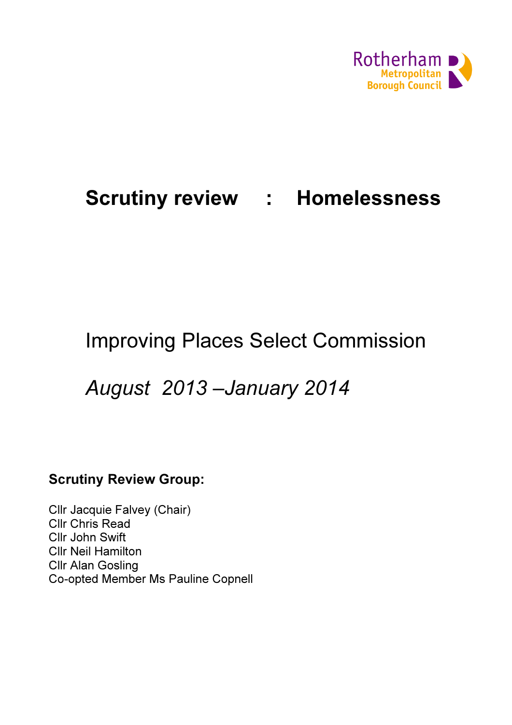

# Scrutiny review : Homelessness

## Improving Places Select Commission

## August 2013 –January 2014

## Scrutiny Review Group:

Cllr Jacquie Falvey (Chair) Cllr Chris Read Cllr John Swift Cllr Neil Hamilton Cllr Alan Gosling Co-opted Member Ms Pauline Copnell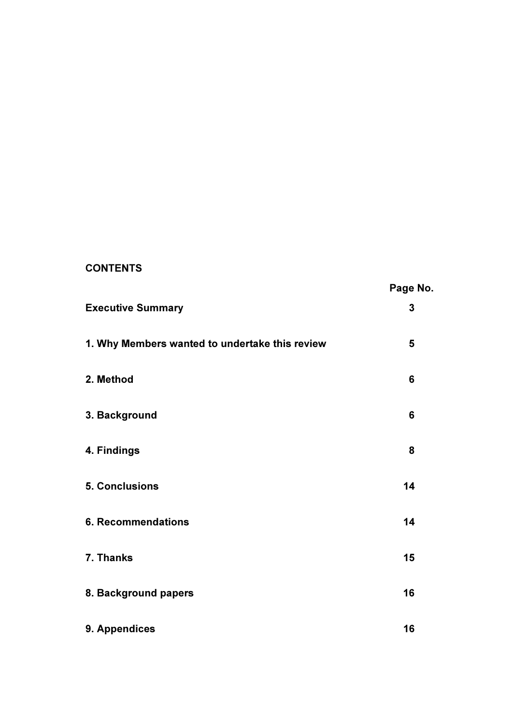## **CONTENTS**

|                                                | Page No. |
|------------------------------------------------|----------|
| <b>Executive Summary</b>                       | 3        |
| 1. Why Members wanted to undertake this review | 5        |
| 2. Method                                      | 6        |
| 3. Background                                  | 6        |
| 4. Findings                                    | 8        |
| 5. Conclusions                                 | 14       |
| <b>6. Recommendations</b>                      | 14       |
| 7. Thanks                                      | 15       |
| 8. Background papers                           | 16       |
| 9. Appendices                                  | 16       |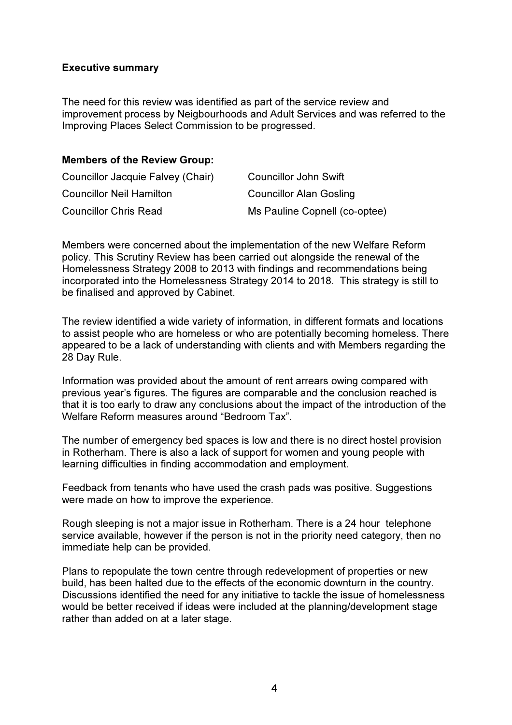#### Executive summary

The need for this review was identified as part of the service review and improvement process by Neigbourhoods and Adult Services and was referred to the Improving Places Select Commission to be progressed.

#### Members of the Review Group:

| Councillor Jacquie Falvey (Chair) | <b>Councillor John Swift</b>   |
|-----------------------------------|--------------------------------|
| <b>Councillor Neil Hamilton</b>   | <b>Councillor Alan Gosling</b> |
| <b>Councillor Chris Read</b>      | Ms Pauline Copnell (co-optee)  |

Members were concerned about the implementation of the new Welfare Reform policy. This Scrutiny Review has been carried out alongside the renewal of the Homelessness Strategy 2008 to 2013 with findings and recommendations being incorporated into the Homelessness Strategy 2014 to 2018. This strategy is still to be finalised and approved by Cabinet.

The review identified a wide variety of information, in different formats and locations to assist people who are homeless or who are potentially becoming homeless. There appeared to be a lack of understanding with clients and with Members regarding the 28 Day Rule.

Information was provided about the amount of rent arrears owing compared with previous year's figures. The figures are comparable and the conclusion reached is that it is too early to draw any conclusions about the impact of the introduction of the Welfare Reform measures around "Bedroom Tax".

The number of emergency bed spaces is low and there is no direct hostel provision in Rotherham. There is also a lack of support for women and young people with learning difficulties in finding accommodation and employment.

Feedback from tenants who have used the crash pads was positive. Suggestions were made on how to improve the experience.

Rough sleeping is not a major issue in Rotherham. There is a 24 hour telephone service available, however if the person is not in the priority need category, then no immediate help can be provided.

Plans to repopulate the town centre through redevelopment of properties or new build, has been halted due to the effects of the economic downturn in the country. Discussions identified the need for any initiative to tackle the issue of homelessness would be better received if ideas were included at the planning/development stage rather than added on at a later stage.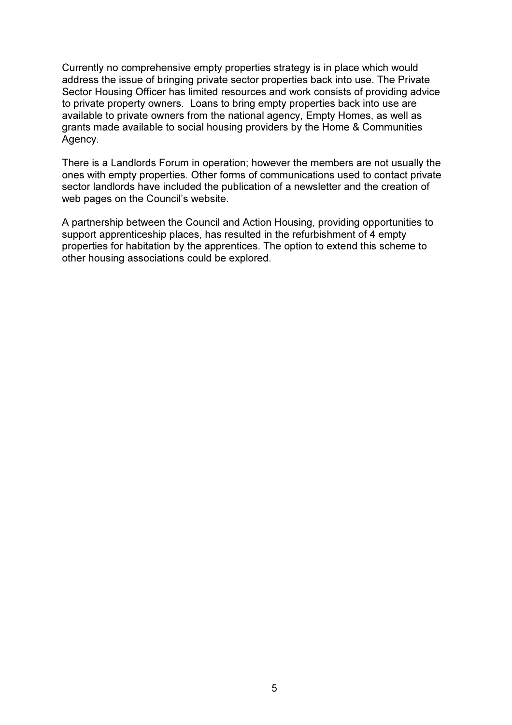Currently no comprehensive empty properties strategy is in place which would address the issue of bringing private sector properties back into use. The Private Sector Housing Officer has limited resources and work consists of providing advice to private property owners. Loans to bring empty properties back into use are available to private owners from the national agency, Empty Homes, as well as grants made available to social housing providers by the Home & Communities Agency.

There is a Landlords Forum in operation; however the members are not usually the ones with empty properties. Other forms of communications used to contact private sector landlords have included the publication of a newsletter and the creation of web pages on the Council's website.

A partnership between the Council and Action Housing, providing opportunities to support apprenticeship places, has resulted in the refurbishment of 4 empty properties for habitation by the apprentices. The option to extend this scheme to other housing associations could be explored.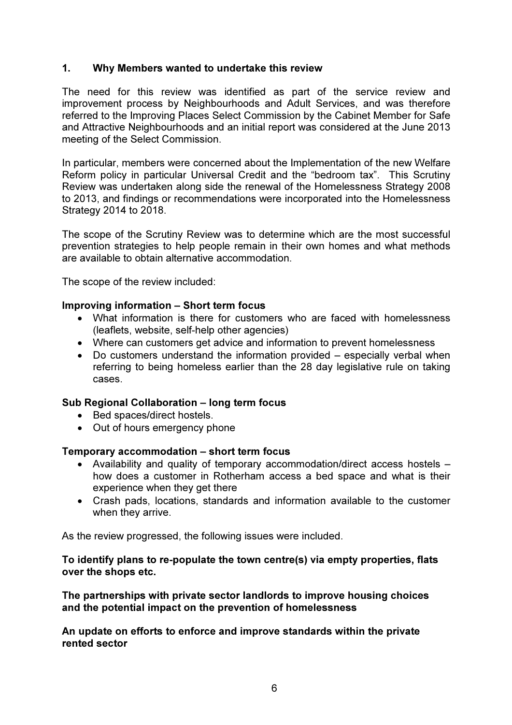#### 1. Why Members wanted to undertake this review

The need for this review was identified as part of the service review and improvement process by Neighbourhoods and Adult Services, and was therefore referred to the Improving Places Select Commission by the Cabinet Member for Safe and Attractive Neighbourhoods and an initial report was considered at the June 2013 meeting of the Select Commission.

In particular, members were concerned about the Implementation of the new Welfare Reform policy in particular Universal Credit and the "bedroom tax". This Scrutiny Review was undertaken along side the renewal of the Homelessness Strategy 2008 to 2013, and findings or recommendations were incorporated into the Homelessness Strategy 2014 to 2018.

The scope of the Scrutiny Review was to determine which are the most successful prevention strategies to help people remain in their own homes and what methods are available to obtain alternative accommodation.

The scope of the review included:

#### Improving information – Short term focus

- What information is there for customers who are faced with homelessness (leaflets, website, self-help other agencies)
- Where can customers get advice and information to prevent homelessness
- Do customers understand the information provided especially verbal when referring to being homeless earlier than the 28 day legislative rule on taking cases.

#### Sub Regional Collaboration – long term focus

- Bed spaces/direct hostels.
- Out of hours emergency phone

#### Temporary accommodation – short term focus

- Availability and quality of temporary accommodation/direct access hostels how does a customer in Rotherham access a bed space and what is their experience when they get there
- Crash pads, locations, standards and information available to the customer when they arrive.

As the review progressed, the following issues were included.

#### To identify plans to re-populate the town centre(s) via empty properties, flats over the shops etc.

The partnerships with private sector landlords to improve housing choices and the potential impact on the prevention of homelessness

An update on efforts to enforce and improve standards within the private rented sector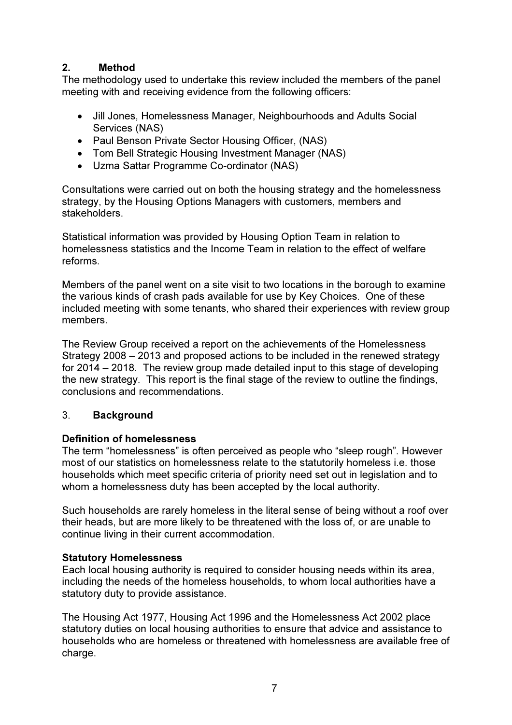## 2. Method

The methodology used to undertake this review included the members of the panel meeting with and receiving evidence from the following officers:

- Jill Jones, Homelessness Manager, Neighbourhoods and Adults Social Services (NAS)
- Paul Benson Private Sector Housing Officer, (NAS)
- Tom Bell Strategic Housing Investment Manager (NAS)
- Uzma Sattar Programme Co-ordinator (NAS)

Consultations were carried out on both the housing strategy and the homelessness strategy, by the Housing Options Managers with customers, members and stakeholders.

Statistical information was provided by Housing Option Team in relation to homelessness statistics and the Income Team in relation to the effect of welfare reforms.

Members of the panel went on a site visit to two locations in the borough to examine the various kinds of crash pads available for use by Key Choices. One of these included meeting with some tenants, who shared their experiences with review group members.

The Review Group received a report on the achievements of the Homelessness Strategy 2008 – 2013 and proposed actions to be included in the renewed strategy for 2014 – 2018. The review group made detailed input to this stage of developing the new strategy. This report is the final stage of the review to outline the findings, conclusions and recommendations.

### 3. Background

### Definition of homelessness

The term "homelessness" is often perceived as people who "sleep rough". However most of our statistics on homelessness relate to the statutorily homeless i.e. those households which meet specific criteria of priority need set out in legislation and to whom a homelessness duty has been accepted by the local authority.

Such households are rarely homeless in the literal sense of being without a roof over their heads, but are more likely to be threatened with the loss of, or are unable to continue living in their current accommodation.

### Statutory Homelessness

Each local housing authority is required to consider housing needs within its area, including the needs of the homeless households, to whom local authorities have a statutory duty to provide assistance.

The Housing Act 1977, Housing Act 1996 and the Homelessness Act 2002 place statutory duties on local housing authorities to ensure that advice and assistance to households who are homeless or threatened with homelessness are available free of charge.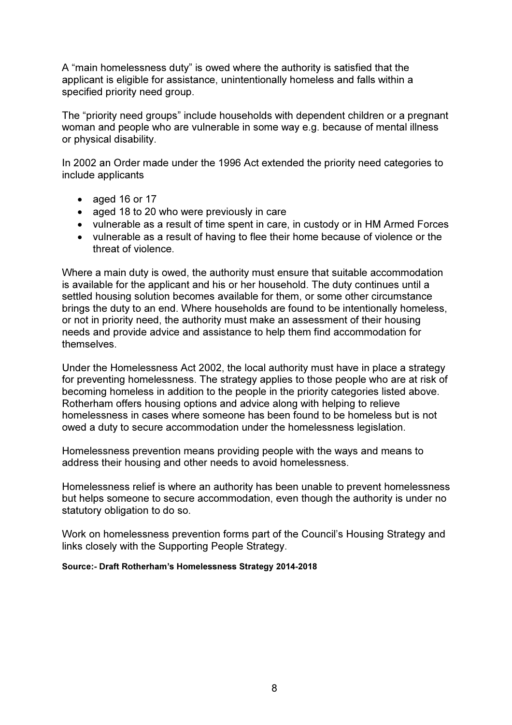A "main homelessness duty" is owed where the authority is satisfied that the applicant is eligible for assistance, unintentionally homeless and falls within a specified priority need group.

The "priority need groups" include households with dependent children or a pregnant woman and people who are vulnerable in some way e.g. because of mental illness or physical disability.

In 2002 an Order made under the 1996 Act extended the priority need categories to include applicants

- aged 16 or 17
- aged 18 to 20 who were previously in care
- vulnerable as a result of time spent in care, in custody or in HM Armed Forces
- vulnerable as a result of having to flee their home because of violence or the threat of violence.

Where a main duty is owed, the authority must ensure that suitable accommodation is available for the applicant and his or her household. The duty continues until a settled housing solution becomes available for them, or some other circumstance brings the duty to an end. Where households are found to be intentionally homeless, or not in priority need, the authority must make an assessment of their housing needs and provide advice and assistance to help them find accommodation for themselves.

Under the Homelessness Act 2002, the local authority must have in place a strategy for preventing homelessness. The strategy applies to those people who are at risk of becoming homeless in addition to the people in the priority categories listed above. Rotherham offers housing options and advice along with helping to relieve homelessness in cases where someone has been found to be homeless but is not owed a duty to secure accommodation under the homelessness legislation.

Homelessness prevention means providing people with the ways and means to address their housing and other needs to avoid homelessness.

Homelessness relief is where an authority has been unable to prevent homelessness but helps someone to secure accommodation, even though the authority is under no statutory obligation to do so.

Work on homelessness prevention forms part of the Council's Housing Strategy and links closely with the Supporting People Strategy.

#### Source:- Draft Rotherham's Homelessness Strategy 2014-2018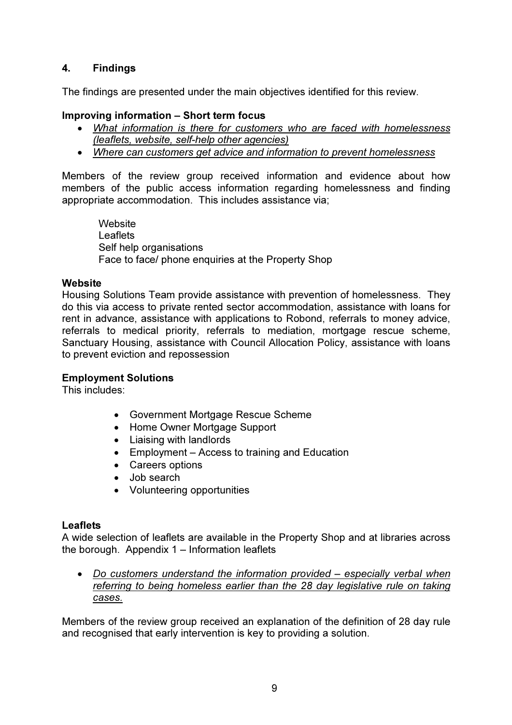## 4. Findings

The findings are presented under the main objectives identified for this review.

#### Improving information – Short term focus

- What information is there for customers who are faced with homelessness (leaflets, website, self-help other agencies)
- Where can customers get advice and information to prevent homelessness

Members of the review group received information and evidence about how members of the public access information regarding homelessness and finding appropriate accommodation. This includes assistance via;

**Website Leaflets** Self help organisations Face to face/ phone enquiries at the Property Shop

#### **Website**

Housing Solutions Team provide assistance with prevention of homelessness. They do this via access to private rented sector accommodation, assistance with loans for rent in advance, assistance with applications to Robond, referrals to money advice, referrals to medical priority, referrals to mediation, mortgage rescue scheme, Sanctuary Housing, assistance with Council Allocation Policy, assistance with loans to prevent eviction and repossession

#### Employment Solutions

This includes:

- Government Mortgage Rescue Scheme
- Home Owner Mortgage Support
- Liaising with landlords
- Employment Access to training and Education
- Careers options
- Job search
- Volunteering opportunities

#### **Leaflets**

A wide selection of leaflets are available in the Property Shop and at libraries across the borough. Appendix 1 – Information leaflets

• Do customers understand the information provided – especially verbal when referring to being homeless earlier than the 28 day legislative rule on taking cases.

Members of the review group received an explanation of the definition of 28 day rule and recognised that early intervention is key to providing a solution.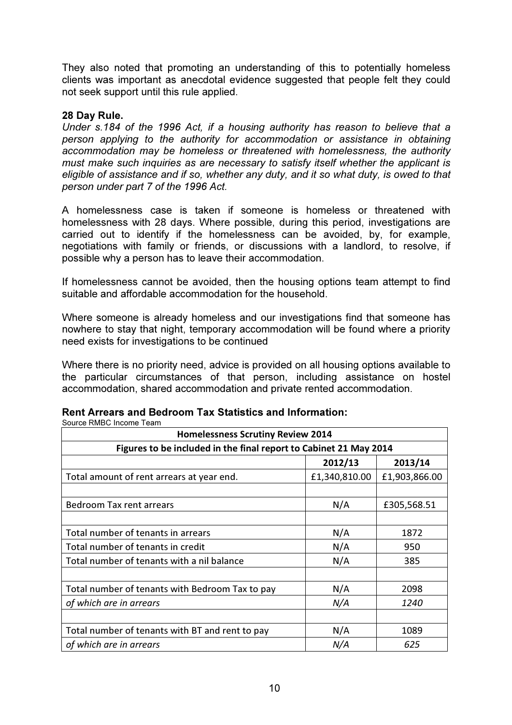They also noted that promoting an understanding of this to potentially homeless clients was important as anecdotal evidence suggested that people felt they could not seek support until this rule applied.

#### 28 Day Rule.

Under s.184 of the 1996 Act, if a housing authority has reason to believe that a person applying to the authority for accommodation or assistance in obtaining accommodation may be homeless or threatened with homelessness, the authority must make such inquiries as are necessary to satisfy itself whether the applicant is eligible of assistance and if so, whether any duty, and it so what duty, is owed to that person under part 7 of the 1996 Act.

A homelessness case is taken if someone is homeless or threatened with homelessness with 28 days. Where possible, during this period, investigations are carried out to identify if the homelessness can be avoided, by, for example, negotiations with family or friends, or discussions with a landlord, to resolve, if possible why a person has to leave their accommodation.

If homelessness cannot be avoided, then the housing options team attempt to find suitable and affordable accommodation for the household.

Where someone is already homeless and our investigations find that someone has nowhere to stay that night, temporary accommodation will be found where a priority need exists for investigations to be continued

Where there is no priority need, advice is provided on all housing options available to the particular circumstances of that person, including assistance on hostel accommodation, shared accommodation and private rented accommodation.

| ovuice invide income realit<br><b>Homelessness Scrutiny Review 2014</b> |               |               |  |  |  |
|-------------------------------------------------------------------------|---------------|---------------|--|--|--|
| Figures to be included in the final report to Cabinet 21 May 2014       |               |               |  |  |  |
|                                                                         | 2012/13       | 2013/14       |  |  |  |
| Total amount of rent arrears at year end.                               | £1,340,810.00 | £1,903,866.00 |  |  |  |
|                                                                         |               |               |  |  |  |
| <b>Bedroom Tax rent arrears</b>                                         | N/A           | £305,568.51   |  |  |  |
|                                                                         |               |               |  |  |  |
| Total number of tenants in arrears                                      | N/A           | 1872          |  |  |  |
| Total number of tenants in credit                                       | N/A           | 950           |  |  |  |
| Total number of tenants with a nil balance                              | N/A           | 385           |  |  |  |
|                                                                         |               |               |  |  |  |
| Total number of tenants with Bedroom Tax to pay                         | N/A           | 2098          |  |  |  |
| of which are in arrears                                                 | N/A           | 1240          |  |  |  |
|                                                                         |               |               |  |  |  |
| Total number of tenants with BT and rent to pay                         | N/A           | 1089          |  |  |  |
| of which are in arrears                                                 | N/A           | 625           |  |  |  |

#### Rent Arrears and Bedroom Tax Statistics and Information: Source RMBC Income Team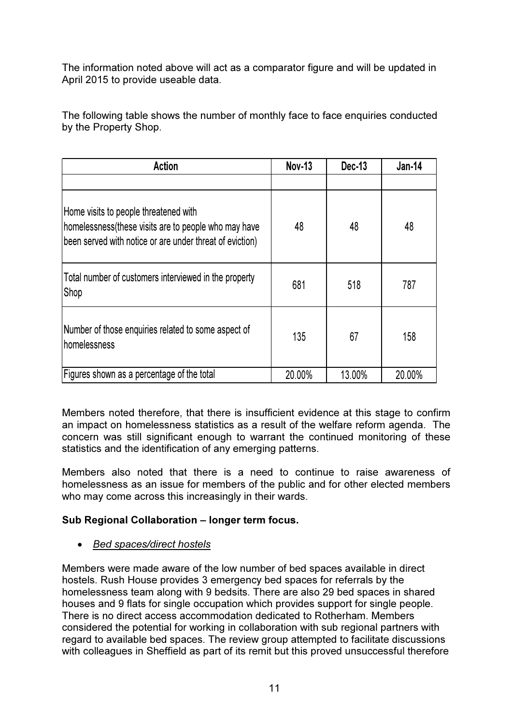The information noted above will act as a comparator figure and will be updated in April 2015 to provide useable data.

The following table shows the number of monthly face to face enquiries conducted by the Property Shop.

| <b>Action</b>                                                                                                                                              | <b>Nov-13</b> | Dec-13 | <b>Jan-14</b> |
|------------------------------------------------------------------------------------------------------------------------------------------------------------|---------------|--------|---------------|
| Home visits to people threatened with<br>homelessness (these visits are to people who may have<br>been served with notice or are under threat of eviction) | 48            | 48     | 48            |
| Total number of customers interviewed in the property<br>Shop                                                                                              | 681           | 518    | 787           |
| Number of those enquiries related to some aspect of<br><b>homelessness</b>                                                                                 | 135           | 67     | 158           |
| Figures shown as a percentage of the total                                                                                                                 | 20.00%        | 13.00% | 20.00%        |

Members noted therefore, that there is insufficient evidence at this stage to confirm an impact on homelessness statistics as a result of the welfare reform agenda. The concern was still significant enough to warrant the continued monitoring of these statistics and the identification of any emerging patterns.

Members also noted that there is a need to continue to raise awareness of homelessness as an issue for members of the public and for other elected members who may come across this increasingly in their wards.

## Sub Regional Collaboration – longer term focus.

### • Bed spaces/direct hostels

Members were made aware of the low number of bed spaces available in direct hostels. Rush House provides 3 emergency bed spaces for referrals by the homelessness team along with 9 bedsits. There are also 29 bed spaces in shared houses and 9 flats for single occupation which provides support for single people. There is no direct access accommodation dedicated to Rotherham. Members considered the potential for working in collaboration with sub regional partners with regard to available bed spaces. The review group attempted to facilitate discussions with colleagues in Sheffield as part of its remit but this proved unsuccessful therefore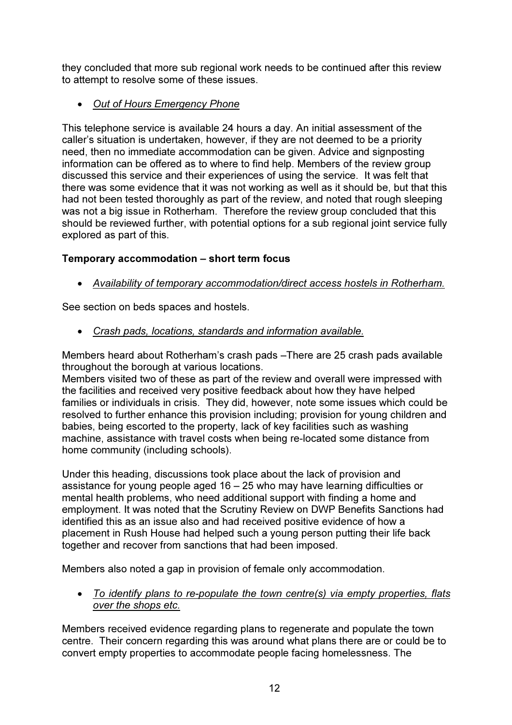they concluded that more sub regional work needs to be continued after this review to attempt to resolve some of these issues.

## • Out of Hours Emergency Phone

This telephone service is available 24 hours a day. An initial assessment of the caller's situation is undertaken, however, if they are not deemed to be a priority need, then no immediate accommodation can be given. Advice and signposting information can be offered as to where to find help. Members of the review group discussed this service and their experiences of using the service. It was felt that there was some evidence that it was not working as well as it should be, but that this had not been tested thoroughly as part of the review, and noted that rough sleeping was not a big issue in Rotherham. Therefore the review group concluded that this should be reviewed further, with potential options for a sub regional joint service fully explored as part of this.

### Temporary accommodation – short term focus

• Availability of temporary accommodation/direct access hostels in Rotherham.

See section on beds spaces and hostels.

• Crash pads, locations, standards and information available.

Members heard about Rotherham's crash pads –There are 25 crash pads available throughout the borough at various locations.

Members visited two of these as part of the review and overall were impressed with the facilities and received very positive feedback about how they have helped families or individuals in crisis. They did, however, note some issues which could be resolved to further enhance this provision including; provision for young children and babies, being escorted to the property, lack of key facilities such as washing machine, assistance with travel costs when being re-located some distance from home community (including schools).

Under this heading, discussions took place about the lack of provision and assistance for young people aged 16 – 25 who may have learning difficulties or mental health problems, who need additional support with finding a home and employment. It was noted that the Scrutiny Review on DWP Benefits Sanctions had identified this as an issue also and had received positive evidence of how a placement in Rush House had helped such a young person putting their life back together and recover from sanctions that had been imposed.

Members also noted a gap in provision of female only accommodation.

• To identify plans to re-populate the town centre(s) via empty properties, flats over the shops etc.

Members received evidence regarding plans to regenerate and populate the town centre. Their concern regarding this was around what plans there are or could be to convert empty properties to accommodate people facing homelessness. The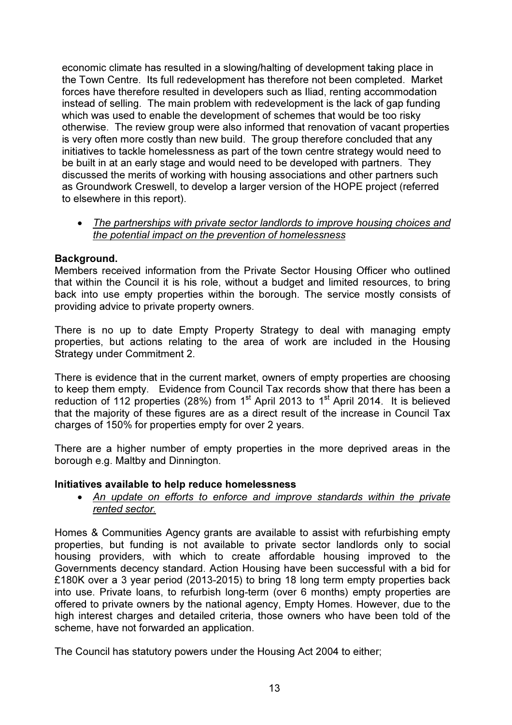economic climate has resulted in a slowing/halting of development taking place in the Town Centre. Its full redevelopment has therefore not been completed. Market forces have therefore resulted in developers such as Iliad, renting accommodation instead of selling. The main problem with redevelopment is the lack of gap funding which was used to enable the development of schemes that would be too risky otherwise. The review group were also informed that renovation of vacant properties is very often more costly than new build. The group therefore concluded that any initiatives to tackle homelessness as part of the town centre strategy would need to be built in at an early stage and would need to be developed with partners. They discussed the merits of working with housing associations and other partners such as Groundwork Creswell, to develop a larger version of the HOPE project (referred to elsewhere in this report).

#### • The partnerships with private sector landlords to improve housing choices and the potential impact on the prevention of homelessness

#### Background.

Members received information from the Private Sector Housing Officer who outlined that within the Council it is his role, without a budget and limited resources, to bring back into use empty properties within the borough. The service mostly consists of providing advice to private property owners.

There is no up to date Empty Property Strategy to deal with managing empty properties, but actions relating to the area of work are included in the Housing Strategy under Commitment 2.

There is evidence that in the current market, owners of empty properties are choosing to keep them empty. Evidence from Council Tax records show that there has been a reduction of 112 properties (28%) from  $1<sup>st</sup>$  April 2013 to  $1<sup>st</sup>$  April 2014. It is believed that the majority of these figures are as a direct result of the increase in Council Tax charges of 150% for properties empty for over 2 years.

There are a higher number of empty properties in the more deprived areas in the borough e.g. Maltby and Dinnington.

#### Initiatives available to help reduce homelessness

• An update on efforts to enforce and improve standards within the private rented sector.

Homes & Communities Agency grants are available to assist with refurbishing empty properties, but funding is not available to private sector landlords only to social housing providers, with which to create affordable housing improved to the Governments decency standard. Action Housing have been successful with a bid for £180K over a 3 year period (2013-2015) to bring 18 long term empty properties back into use. Private loans, to refurbish long-term (over 6 months) empty properties are offered to private owners by the national agency, Empty Homes. However, due to the high interest charges and detailed criteria, those owners who have been told of the scheme, have not forwarded an application.

The Council has statutory powers under the Housing Act 2004 to either;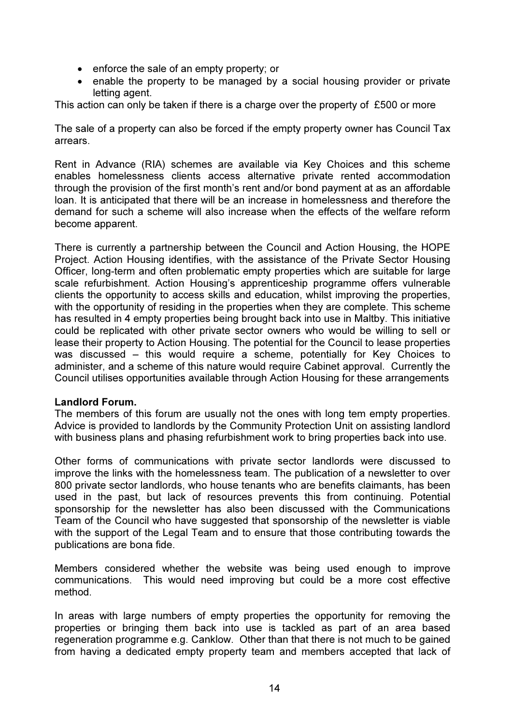- enforce the sale of an empty property; or
- enable the property to be managed by a social housing provider or private letting agent.

This action can only be taken if there is a charge over the property of £500 or more

The sale of a property can also be forced if the empty property owner has Council Tax arrears.

Rent in Advance (RIA) schemes are available via Key Choices and this scheme enables homelessness clients access alternative private rented accommodation through the provision of the first month's rent and/or bond payment at as an affordable loan. It is anticipated that there will be an increase in homelessness and therefore the demand for such a scheme will also increase when the effects of the welfare reform become apparent.

There is currently a partnership between the Council and Action Housing, the HOPE Project. Action Housing identifies, with the assistance of the Private Sector Housing Officer, long-term and often problematic empty properties which are suitable for large scale refurbishment. Action Housing's apprenticeship programme offers vulnerable clients the opportunity to access skills and education, whilst improving the properties, with the opportunity of residing in the properties when they are complete. This scheme has resulted in 4 empty properties being brought back into use in Maltby. This initiative could be replicated with other private sector owners who would be willing to sell or lease their property to Action Housing. The potential for the Council to lease properties was discussed – this would require a scheme, potentially for Key Choices to administer, and a scheme of this nature would require Cabinet approval. Currently the Council utilises opportunities available through Action Housing for these arrangements

#### Landlord Forum.

The members of this forum are usually not the ones with long tem empty properties. Advice is provided to landlords by the Community Protection Unit on assisting landlord with business plans and phasing refurbishment work to bring properties back into use.

Other forms of communications with private sector landlords were discussed to improve the links with the homelessness team. The publication of a newsletter to over 800 private sector landlords, who house tenants who are benefits claimants, has been used in the past, but lack of resources prevents this from continuing. Potential sponsorship for the newsletter has also been discussed with the Communications Team of the Council who have suggested that sponsorship of the newsletter is viable with the support of the Legal Team and to ensure that those contributing towards the publications are bona fide.

Members considered whether the website was being used enough to improve communications. This would need improving but could be a more cost effective method.

In areas with large numbers of empty properties the opportunity for removing the properties or bringing them back into use is tackled as part of an area based regeneration programme e.g. Canklow. Other than that there is not much to be gained from having a dedicated empty property team and members accepted that lack of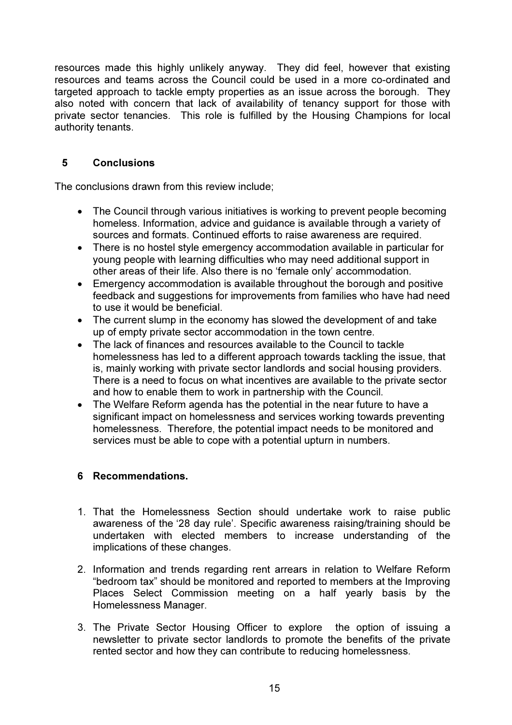resources made this highly unlikely anyway. They did feel, however that existing resources and teams across the Council could be used in a more co-ordinated and targeted approach to tackle empty properties as an issue across the borough. They also noted with concern that lack of availability of tenancy support for those with private sector tenancies. This role is fulfilled by the Housing Champions for local authority tenants.

### 5 Conclusions

The conclusions drawn from this review include;

- The Council through various initiatives is working to prevent people becoming homeless. Information, advice and guidance is available through a variety of sources and formats. Continued efforts to raise awareness are required.
- There is no hostel style emergency accommodation available in particular for young people with learning difficulties who may need additional support in other areas of their life. Also there is no 'female only' accommodation.
- Emergency accommodation is available throughout the borough and positive feedback and suggestions for improvements from families who have had need to use it would be beneficial.
- The current slump in the economy has slowed the development of and take up of empty private sector accommodation in the town centre.
- The lack of finances and resources available to the Council to tackle homelessness has led to a different approach towards tackling the issue, that is, mainly working with private sector landlords and social housing providers. There is a need to focus on what incentives are available to the private sector and how to enable them to work in partnership with the Council.
- The Welfare Reform agenda has the potential in the near future to have a significant impact on homelessness and services working towards preventing homelessness. Therefore, the potential impact needs to be monitored and services must be able to cope with a potential upturn in numbers.

### 6 Recommendations.

- 1. That the Homelessness Section should undertake work to raise public awareness of the '28 day rule'. Specific awareness raising/training should be undertaken with elected members to increase understanding of the implications of these changes.
- 2. Information and trends regarding rent arrears in relation to Welfare Reform "bedroom tax" should be monitored and reported to members at the Improving Places Select Commission meeting on a half yearly basis by the Homelessness Manager.
- 3. The Private Sector Housing Officer to explore the option of issuing a newsletter to private sector landlords to promote the benefits of the private rented sector and how they can contribute to reducing homelessness.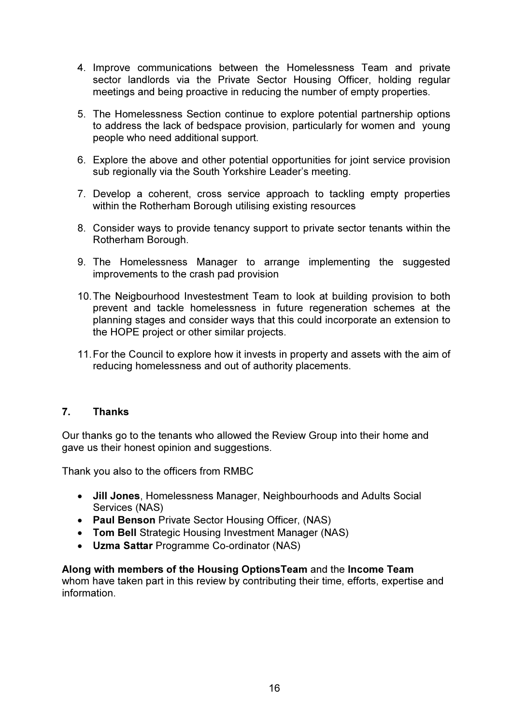- 4. Improve communications between the Homelessness Team and private sector landlords via the Private Sector Housing Officer, holding regular meetings and being proactive in reducing the number of empty properties.
- 5. The Homelessness Section continue to explore potential partnership options to address the lack of bedspace provision, particularly for women and young people who need additional support.
- 6. Explore the above and other potential opportunities for joint service provision sub regionally via the South Yorkshire Leader's meeting.
- 7. Develop a coherent, cross service approach to tackling empty properties within the Rotherham Borough utilising existing resources
- 8. Consider ways to provide tenancy support to private sector tenants within the Rotherham Borough.
- 9. The Homelessness Manager to arrange implementing the suggested improvements to the crash pad provision
- 10. The Neigbourhood Investestment Team to look at building provision to both prevent and tackle homelessness in future regeneration schemes at the planning stages and consider ways that this could incorporate an extension to the HOPE project or other similar projects.
- 11. For the Council to explore how it invests in property and assets with the aim of reducing homelessness and out of authority placements.

#### 7. Thanks

Our thanks go to the tenants who allowed the Review Group into their home and gave us their honest opinion and suggestions.

Thank you also to the officers from RMBC

- Jill Jones, Homelessness Manager, Neighbourhoods and Adults Social Services (NAS)
- Paul Benson Private Sector Housing Officer, (NAS)
- Tom Bell Strategic Housing Investment Manager (NAS)
- Uzma Sattar Programme Co-ordinator (NAS)

Along with members of the Housing OptionsTeam and the Income Team whom have taken part in this review by contributing their time, efforts, expertise and information.